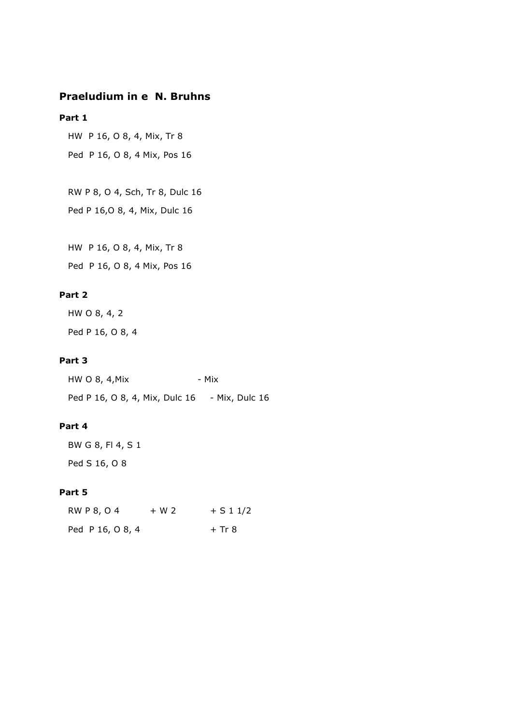# **Praeludium in e N. Bruhns**

## **Part 1**

HW P 16, O 8, 4, Mix, Tr 8

Ped P 16, O 8, 4 Mix, Pos 16

 RW P 8, O 4, Sch, Tr 8, Dulc 16 Ped P 16,O 8, 4, Mix, Dulc 16

HW P 16, O 8, 4, Mix, Tr 8

Ped P 16, O 8, 4 Mix, Pos 16

# **Part 2**

 HW O 8, 4, 2 Ped P 16, O 8, 4

#### **Part 3**

| HW O 8, 4, Mix                 | - Mix          |
|--------------------------------|----------------|
| Ped P 16, O 8, 4, Mix, Dulc 16 | - Mix, Dulc 16 |

## **Part 4**

| BW G 8, FI 4, S 1 |  |
|-------------------|--|
| Ped S 16, O 8     |  |

#### **Part 5**

| <b>RW P 8, O 4</b> | $+ W 2$ | $+ S 1 1/2$ |
|--------------------|---------|-------------|
| Ped P 16, O 8, 4   |         | $+$ Tr 8    |